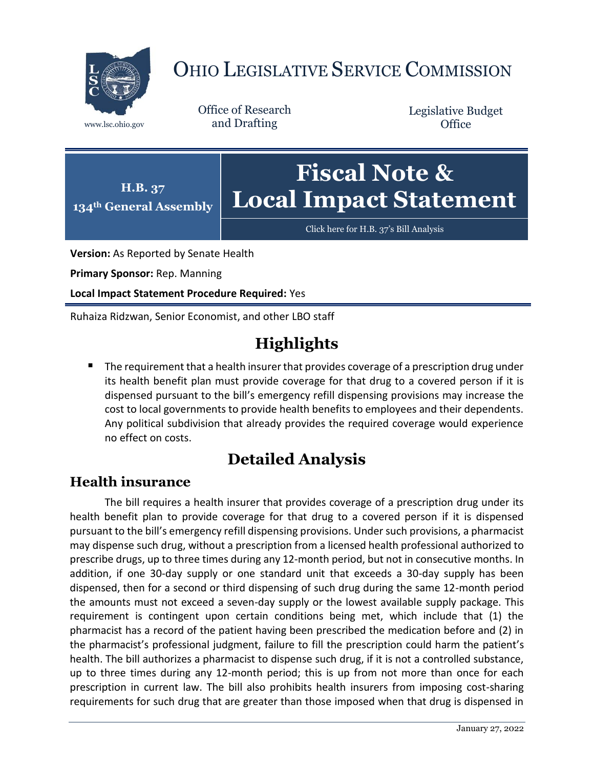

# OHIO LEGISLATIVE SERVICE COMMISSION

Office of Research www.lsc.ohio.gov and Drafting

Legislative Budget **Office** 



[Click here for H.B. 37](https://www.legislature.ohio.gov/legislation/legislation-documents?id=GA134-HB-37)'s Bill Analysis

**Version:** As Reported by Senate Health

**Primary Sponsor:** Rep. Manning

**Local Impact Statement Procedure Required:** Yes

Ruhaiza Ridzwan, Senior Economist, and other LBO staff

## **Highlights**

 The requirement that a health insurer that provides coverage of a prescription drug under its health benefit plan must provide coverage for that drug to a covered person if it is dispensed pursuant to the bill's emergency refill dispensing provisions may increase the cost to local governments to provide health benefits to employees and their dependents. Any political subdivision that already provides the required coverage would experience no effect on costs.

## **Detailed Analysis**

### **Health insurance**

The bill requires a health insurer that provides coverage of a prescription drug under its health benefit plan to provide coverage for that drug to a covered person if it is dispensed pursuant to the bill's emergency refill dispensing provisions. Under such provisions, a pharmacist may dispense such drug, without a prescription from a licensed health professional authorized to prescribe drugs, up to three times during any 12-month period, but not in consecutive months. In addition, if one 30-day supply or one standard unit that exceeds a 30-day supply has been dispensed, then for a second or third dispensing of such drug during the same 12-month period the amounts must not exceed a seven-day supply or the lowest available supply package. This requirement is contingent upon certain conditions being met, which include that (1) the pharmacist has a record of the patient having been prescribed the medication before and (2) in the pharmacist's professional judgment, failure to fill the prescription could harm the patient's health. The bill authorizes a pharmacist to dispense such drug, if it is not a controlled substance, up to three times during any 12-month period; this is up from not more than once for each prescription in current law. The bill also prohibits health insurers from imposing cost-sharing requirements for such drug that are greater than those imposed when that drug is dispensed in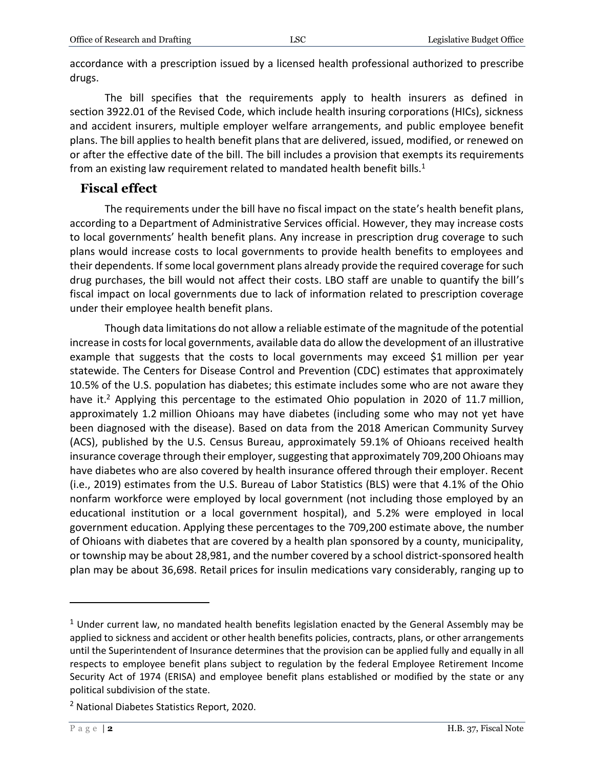accordance with a prescription issued by a licensed health professional authorized to prescribe drugs.

The bill specifies that the requirements apply to health insurers as defined in section 3922.01 of the Revised Code, which include health insuring corporations (HICs), sickness and accident insurers, multiple employer welfare arrangements, and public employee benefit plans. The bill applies to health benefit plans that are delivered, issued, modified, or renewed on or after the effective date of the bill. The bill includes a provision that exempts its requirements from an existing law requirement related to mandated health benefit bills.<sup>1</sup>

#### **Fiscal effect**

The requirements under the bill have no fiscal impact on the state's health benefit plans, according to a Department of Administrative Services official. However, they may increase costs to local governments' health benefit plans. Any increase in prescription drug coverage to such plans would increase costs to local governments to provide health benefits to employees and their dependents. If some local government plans already provide the required coverage for such drug purchases, the bill would not affect their costs. LBO staff are unable to quantify the bill's fiscal impact on local governments due to lack of information related to prescription coverage under their employee health benefit plans.

Though data limitations do not allow a reliable estimate of the magnitude of the potential increase in costs for local governments, available data do allow the development of an illustrative example that suggests that the costs to local governments may exceed \$1 million per year statewide. The Centers for Disease Control and Prevention (CDC) estimates that approximately 10.5% of the U.S. population has diabetes; this estimate includes some who are not aware they have it.<sup>2</sup> Applying this percentage to the estimated Ohio population in 2020 of 11.7 million, approximately 1.2 million Ohioans may have diabetes (including some who may not yet have been diagnosed with the disease). Based on data from the 2018 American Community Survey (ACS), published by the U.S. Census Bureau, approximately 59.1% of Ohioans received health insurance coverage through their employer, suggesting that approximately 709,200 Ohioans may have diabetes who are also covered by health insurance offered through their employer. Recent (i.e., 2019) estimates from the U.S. Bureau of Labor Statistics (BLS) were that 4.1% of the Ohio nonfarm workforce were employed by local government (not including those employed by an educational institution or a local government hospital), and 5.2% were employed in local government education. Applying these percentages to the 709,200 estimate above, the number of Ohioans with diabetes that are covered by a health plan sponsored by a county, municipality, or township may be about 28,981, and the number covered by a school district-sponsored health plan may be about 36,698. Retail prices for insulin medications vary considerably, ranging up to

 $\overline{a}$ 

 $1$  Under current law, no mandated health benefits legislation enacted by the General Assembly may be applied to sickness and accident or other health benefits policies, contracts, plans, or other arrangements until the Superintendent of Insurance determines that the provision can be applied fully and equally in all respects to employee benefit plans subject to regulation by the federal Employee Retirement Income Security Act of 1974 (ERISA) and employee benefit plans established or modified by the state or any political subdivision of the state.

<sup>2</sup> National Diabetes Statistics Report, 2020.